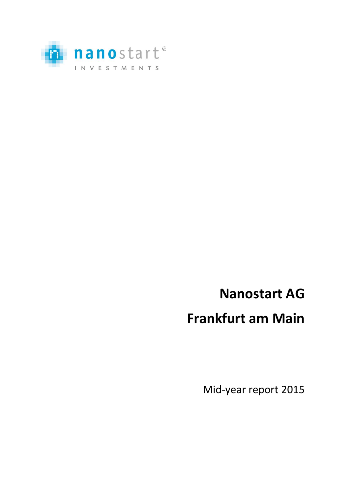

# **Nanostart AG**

# **Frankfurt am Main**

Mid-year report 2015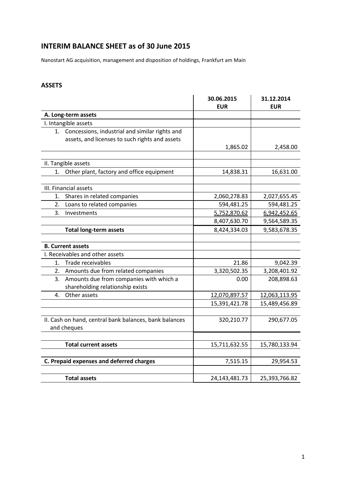### **INTERIM BALANCE SHEET as of 30 June 2015**

Nanostart AG acquisition, management and disposition of holdings, Frankfurt am Main

#### **ASSETS**

|                                          |                                                        | 30.06.2015<br><b>EUR</b> | 31.12.2014<br><b>EUR</b> |
|------------------------------------------|--------------------------------------------------------|--------------------------|--------------------------|
|                                          | A. Long-term assets                                    |                          |                          |
|                                          | I. Intangible assets                                   |                          |                          |
|                                          | 1. Concessions, industrial and similar rights and      |                          |                          |
|                                          | assets, and licenses to such rights and assets         |                          |                          |
|                                          |                                                        | 1,865.02                 | 2,458.00                 |
|                                          |                                                        |                          |                          |
|                                          | II. Tangible assets                                    |                          |                          |
| 1.                                       | Other plant, factory and office equipment              | 14,838.31                | 16,631.00                |
|                                          |                                                        |                          |                          |
|                                          | III. Financial assets                                  |                          |                          |
| 1.<br>2.                                 | Shares in related companies                            | 2,060,278.83             | 2,027,655.45             |
|                                          | Loans to related companies                             | 594,481.25               | 594,481.25               |
| 3.                                       | Investments                                            | 5,752,870.62             | 6,942,452.65             |
|                                          |                                                        | 8,407,630.70             | 9,564,589.35             |
|                                          | <b>Total long-term assets</b>                          | 8,424,334.03             | 9,583,678.35             |
|                                          | <b>B. Current assets</b>                               |                          |                          |
|                                          | I. Receivables and other assets                        |                          |                          |
| 1.                                       | Trade receivables                                      | 21.86                    | 9,042.39                 |
|                                          | 2. Amounts due from related companies                  | 3,320,502.35             | 3,208,401.92             |
|                                          | 3. Amounts due from companies with which a             | 0.00                     | 208,898.63               |
|                                          | shareholding relationship exists                       |                          |                          |
| 4.                                       | Other assets                                           | 12,070,897.57            | 12,063,113.95            |
|                                          |                                                        | 15,391,421.78            | 15,489,456.89            |
|                                          |                                                        |                          |                          |
|                                          | II. Cash on hand, central bank balances, bank balances | 320,210.77               | 290,677.05               |
|                                          | and cheques                                            |                          |                          |
|                                          |                                                        |                          |                          |
|                                          | <b>Total current assets</b>                            | 15,711,632.55            | 15,780,133.94            |
|                                          |                                                        |                          |                          |
| C. Prepaid expenses and deferred charges |                                                        | 7,515.15                 | 29,954.53                |
|                                          |                                                        |                          |                          |
|                                          | <b>Total assets</b>                                    | 24, 143, 481. 73         | 25,393,766.82            |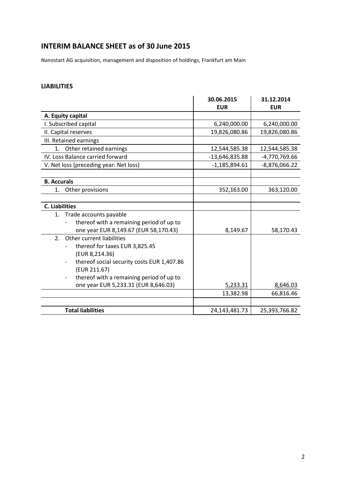### **INTERIM BALANCE SHEET as of 30 June 2015**

Nanostart AG acquisition, management and disposition of holdings, Frankfurt am Main

#### **LIABILITIES**

|                                                                        | 30.06.2015      | 31.12.2014      |
|------------------------------------------------------------------------|-----------------|-----------------|
|                                                                        | <b>EUR</b>      | <b>EUR</b>      |
| A. Equity capital                                                      |                 |                 |
| I. Subscribed capital                                                  | 6,240,000.00    | 6,240,000.00    |
| II. Capital reserves                                                   | 19,826,080.86   | 19,826,080.86   |
| III. Retained earnings                                                 |                 |                 |
| Other retained earnings<br>1.                                          | 12,544,585.38   | 12,544,585.38   |
| IV. Loss Balance carried forward                                       | -13,646,835.88  | $-4,770,769.66$ |
| V. Net loss (preceding year: Net loss)                                 | $-1,185,894.61$ | $-8,876,066.22$ |
|                                                                        |                 |                 |
| <b>B.</b> Accurals                                                     |                 |                 |
| Other provisions<br>1.                                                 | 352,163.00      | 363,120.00      |
|                                                                        |                 |                 |
| <b>C.</b> Liabilities                                                  |                 |                 |
| 1. Trade accounts payable                                              |                 |                 |
| thereof with a remaining period of up to                               |                 |                 |
| one year EUR 8,149.67 (EUR 58,170.43)                                  | 8,149.67        | 58,170.43       |
| Other current liabilities<br>2.                                        |                 |                 |
| thereof for taxes EUR 3,825.45                                         |                 |                 |
| (EUR 8,214.36)                                                         |                 |                 |
| thereof social security costs EUR 1,407.86<br>$\overline{\phantom{a}}$ |                 |                 |
| (EUR 211.67)                                                           |                 |                 |
| thereof with a remaining period of up to<br>$\overline{\phantom{a}}$   |                 |                 |
| one year EUR 5,233.31 (EUR 8,646.03)                                   | 5,233.31        | 8,646.03        |
|                                                                        | 13,382.98       | 66,816.46       |
|                                                                        |                 |                 |
| <b>Total liabilities</b>                                               | 24,143,481.73   | 25,393,766.82   |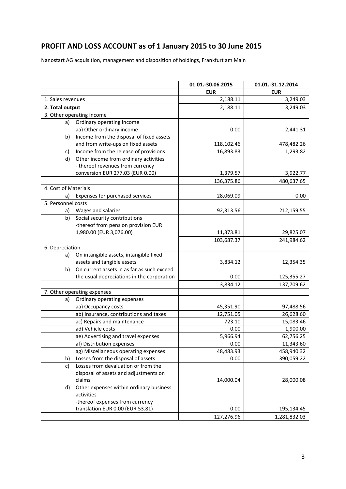## **PROFIT AND LOSS ACCOUNT as of 1 January 2015 to 30 June 2015**

Nanostart AG acquisition, management and disposition of holdings, Frankfurt am Main

|                      |                                            | 01.01.-30.06.2015 | 01.01.-31.12.2014 |
|----------------------|--------------------------------------------|-------------------|-------------------|
|                      |                                            | <b>EUR</b>        | <b>EUR</b>        |
| 1. Sales revenues    |                                            | 2,188.11          | 3,249.03          |
| 2. Total output      |                                            | 2,188.11          | 3,249.03          |
|                      | 3. Other operating income                  |                   |                   |
| a)                   | Ordinary operating income                  |                   |                   |
|                      | aa) Other ordinary income                  | 0.00              | 2,441.31          |
| b)                   | Income from the disposal of fixed assets   |                   |                   |
|                      | and from write-ups on fixed assets         | 118,102.46        | 478,482.26        |
| c)                   | Income from the release of provisions      | 16,893.83         | 1,293.82          |
| d)                   | Other income from ordinary activities      |                   |                   |
|                      | - thereof revenues from currency           |                   |                   |
|                      | conversion EUR 277.03 (EUR 0.00)           | 1,379.57          | 3,922.77          |
|                      |                                            | 136,375.86        | 480,637.65        |
| 4. Cost of Materials |                                            |                   |                   |
| a)                   | Expenses for purchased services            | 28,069.09         | 0.00              |
| 5. Personnel costs   |                                            |                   |                   |
| a)                   | Wages and salaries                         | 92,313.56         | 212,159.55        |
| b)                   | Social security contributions              |                   |                   |
|                      | -thereof from pension provision EUR        |                   |                   |
|                      | 1,980.00 (EUR 3,076.00)                    | 11,373.81         | 29,825.07         |
|                      |                                            | 103,687.37        | 241,984.62        |
| 6. Depreciation      |                                            |                   |                   |
| a)                   | On intangible assets, intangible fixed     |                   |                   |
|                      | assets and tangible assets                 | 3,834.12          | 12,354.35         |
| b)                   | On current assets in as far as such exceed |                   |                   |
|                      | the usual depreciations in the corporation | 0.00              | 125,355.27        |
|                      |                                            | 3,834.12          | 137,709.62        |
|                      | 7. Other operating expenses                |                   |                   |
| a)                   | Ordinary operating expenses                |                   |                   |
|                      | aa) Occupancy costs                        | 45,351.90         | 97,488.56         |
|                      | ab) Insurance, contributions and taxes     | 12,751.05         | 26,628.60         |
|                      | ac) Repairs and maintenance                | 723.10            | 15,083.46         |
|                      | ad) Vehicle costs                          | 0.00              | 1,900.00          |
|                      | ae) Advertising and travel expenses        | 5,966.94          | 62,756.25         |
|                      | af) Distribution expenses                  | 0.00              | 11,343.60         |
|                      | ag) Miscellaneous operating expenses       | 48,483.93         | 458,940.32        |
| b)                   | Losses from the disposal of assets         | 0.00              | 390,059.22        |
| c)                   | Losses from devaluation or from the        |                   |                   |
|                      | disposal of assets and adjustments on      |                   |                   |
|                      | claims                                     | 14,000.04         | 28,000.08         |
| d)                   | Other expenses within ordinary business    |                   |                   |
|                      | activities                                 |                   |                   |
|                      | -thereof expenses from currency            |                   |                   |
|                      | translation EUR 0.00 (EUR 53.81)           | 0.00              | 195,134.45        |
|                      |                                            | 127,276.96        | 1,281,832.03      |